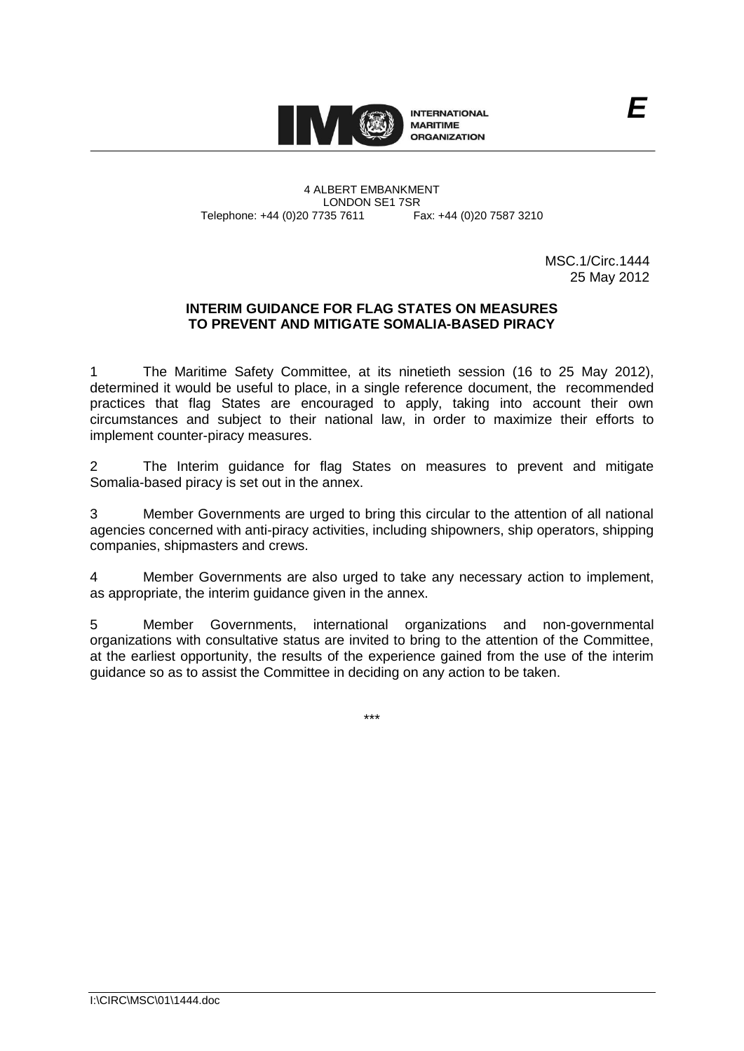

4 ALBERT EMBANKMENT LONDON SE1 7SR<br>735 7611 Fax: +44 (0)20 7587 3210 Telephone: +44 (0)20 7735 7611

> MSC.1/Circ.1444 25 May 2012

# **INTERIM GUIDANCE FOR FLAG STATES ON MEASURES TO PREVENT AND MITIGATE SOMALIA-BASED PIRACY**

1 The Maritime Safety Committee, at its ninetieth session (16 to 25 May 2012), determined it would be useful to place, in a single reference document, the recommended practices that flag States are encouraged to apply, taking into account their own circumstances and subject to their national law, in order to maximize their efforts to implement counter-piracy measures.

2 The Interim guidance for flag States on measures to prevent and mitigate Somalia-based piracy is set out in the annex.

3 Member Governments are urged to bring this circular to the attention of all national agencies concerned with anti-piracy activities, including shipowners, ship operators, shipping companies, shipmasters and crews.

4 Member Governments are also urged to take any necessary action to implement, as appropriate, the interim guidance given in the annex.

5 Member Governments, international organizations and non-governmental organizations with consultative status are invited to bring to the attention of the Committee, at the earliest opportunity, the results of the experience gained from the use of the interim guidance so as to assist the Committee in deciding on any action to be taken.

\*\*\*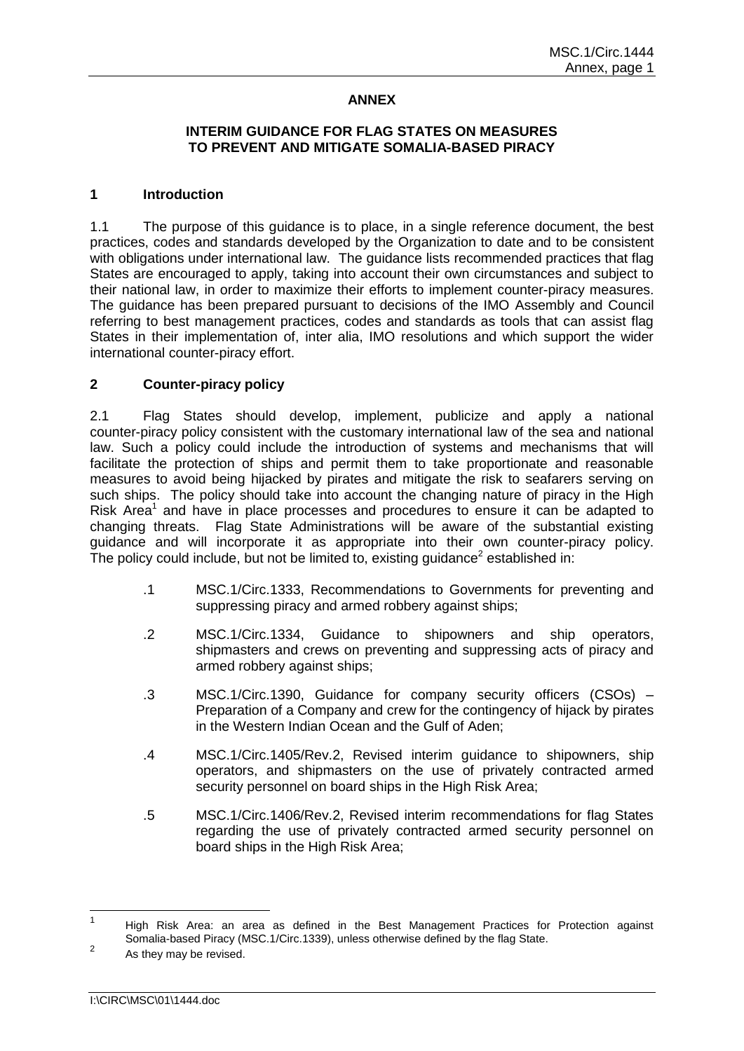# **ANNEX**

# **INTERIM GUIDANCE FOR FLAG STATES ON MEASURES TO PREVENT AND MITIGATE SOMALIA-BASED PIRACY**

### **1 Introduction**

1.1 The purpose of this guidance is to place, in a single reference document, the best practices, codes and standards developed by the Organization to date and to be consistent with obligations under international law. The guidance lists recommended practices that flag States are encouraged to apply, taking into account their own circumstances and subject to their national law, in order to maximize their efforts to implement counter-piracy measures. The guidance has been prepared pursuant to decisions of the IMO Assembly and Council referring to best management practices, codes and standards as tools that can assist flag States in their implementation of, inter alia, IMO resolutions and which support the wider international counter-piracy effort.

#### **2 Counter-piracy policy**

2.1 Flag States should develop, implement, publicize and apply a national counter-piracy policy consistent with the customary international law of the sea and national law. Such a policy could include the introduction of systems and mechanisms that will facilitate the protection of ships and permit them to take proportionate and reasonable measures to avoid being hijacked by pirates and mitigate the risk to seafarers serving on such ships. The policy should take into account the changing nature of piracy in the High Risk Area<sup>1</sup> and have in place processes and procedures to ensure it can be adapted to changing threats. Flag State Administrations will be aware of the substantial existing guidance and will incorporate it as appropriate into their own counter-piracy policy. The policy could include, but not be limited to, existing guidance<sup>2</sup> established in:

- .1 MSC.1/Circ.1333, Recommendations to Governments for preventing and suppressing piracy and armed robbery against ships;
- .2 MSC.1/Circ.1334, Guidance to shipowners and ship operators, shipmasters and crews on preventing and suppressing acts of piracy and armed robbery against ships;
- .3 MSC.1/Circ.1390, Guidance for company security officers (CSOs) Preparation of a Company and crew for the contingency of hijack by pirates in the Western Indian Ocean and the Gulf of Aden;
- .4 MSC.1/Circ.1405/Rev.2, Revised interim guidance to shipowners, ship operators, and shipmasters on the use of privately contracted armed security personnel on board ships in the High Risk Area;
- .5 MSC.1/Circ.1406/Rev.2, Revised interim recommendations for flag States regarding the use of privately contracted armed security personnel on board ships in the High Risk Area;

 $\frac{1}{1}$ High Risk Area: an area as defined in the Best Management Practices for Protection against Somalia-based Piracy (MSC.1/Circ.1339), unless otherwise defined by the flag State.  $\overline{2}$ 

As they may be revised.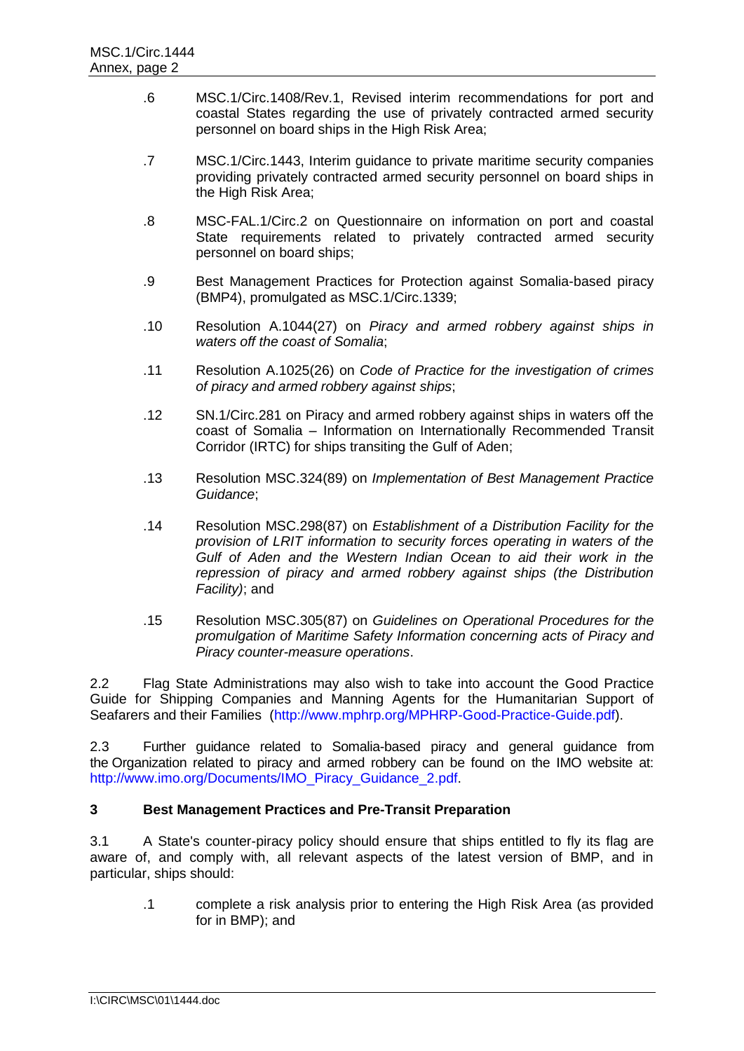- .6 MSC.1/Circ.1408/Rev.1, Revised interim recommendations for port and coastal States regarding the use of privately contracted armed security personnel on board ships in the High Risk Area;
- .7 MSC.1/Circ.1443, Interim guidance to private maritime security companies providing privately contracted armed security personnel on board ships in the High Risk Area;
- .8 MSC-FAL.1/Circ.2 on Questionnaire on information on port and coastal State requirements related to privately contracted armed security personnel on board ships;
- .9 Best Management Practices for Protection against Somalia-based piracy (BMP4), promulgated as MSC.1/Circ.1339;
- .10 Resolution A.1044(27) on *Piracy and armed robbery against ships in waters off the coast of Somalia*;
- .11 Resolution A.1025(26) on *Code of Practice for the investigation of crimes of piracy and armed robbery against ships*;
- .12 SN.1/Circ.281 on Piracy and armed robbery against ships in waters off the coast of Somalia – Information on Internationally Recommended Transit Corridor (IRTC) for ships transiting the Gulf of Aden;
- .13 Resolution MSC.324(89) on *Implementation of Best Management Practice Guidance*;
- .14 Resolution MSC.298(87) on *Establishment of a Distribution Facility for the provision of LRIT information to security forces operating in waters of the Gulf of Aden and the Western Indian Ocean to aid their work in the repression of piracy and armed robbery against ships (the Distribution Facility)*; and
- .15 Resolution MSC.305(87) on *Guidelines on Operational Procedures for the promulgation of Maritime Safety Information concerning acts of Piracy and Piracy counter-measure operations*.

2.2 Flag State Administrations may also wish to take into account the Good Practice Guide for Shipping Companies and Manning Agents for the Humanitarian Support of Seafarers and their Families [\(http://www.mphrp.org/MPHRP-Good-Practice-Guide.pdf\)](http://www.mphrp.org/MPHRP-Good-Practice-Guide.pdf).

2.3 Further guidance related to Somalia-based piracy and general guidance from the Organization related to piracy and armed robbery can be found on the IMO website at: [http://www.imo.org/Documents/IMO\\_Piracy\\_Guidance\\_2.pdf.](http://www.imo.org/Documents/IMO_Piracy_Guidance_2.pdf)

# **3 Best Management Practices and Pre-Transit Preparation**

3.1 A State's counter-piracy policy should ensure that ships entitled to fly its flag are aware of, and comply with, all relevant aspects of the latest version of BMP, and in particular, ships should:

.1 complete a risk analysis prior to entering the High Risk Area (as provided for in BMP); and